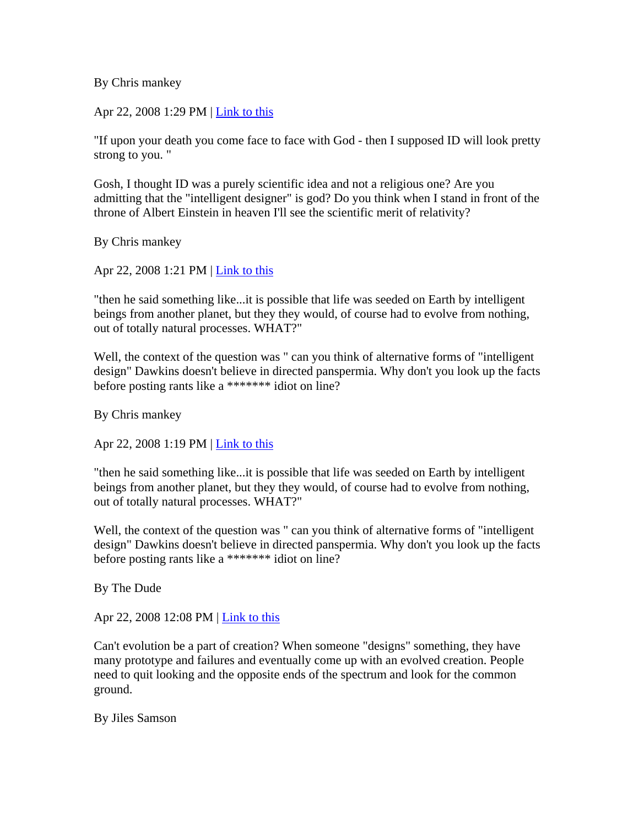By Chris mankey

Apr 22, 2008 1:29 PM | Link to this

"If upon your death you come face to face with God - then I supposed ID will look pretty strong to you. "

Gosh, I thought ID was a purely scientific idea and not a religious one? Are you admitting that the "intelligent designer" is god? Do you think when I stand in front of the throne of Albert Einstein in heaven I'll see the scientific merit of relativity?

By Chris mankey

Apr 22, 2008 1:21 PM | Link to this

"then he said something like...it is possible that life was seeded on Earth by intelligent beings from another planet, but they they would, of course had to evolve from nothing, out of totally natural processes. WHAT?"

Well, the context of the question was " can you think of alternative forms of "intelligent design" Dawkins doesn't believe in directed panspermia. Why don't you look up the facts before posting rants like a \*\*\*\*\*\*\* idiot on line?

By Chris mankey

Apr 22, 2008 1:19 PM | Link to this

"then he said something like...it is possible that life was seeded on Earth by intelligent beings from another planet, but they they would, of course had to evolve from nothing, out of totally natural processes. WHAT?"

Well, the context of the question was " can you think of alternative forms of "intelligent design" Dawkins doesn't believe in directed panspermia. Why don't you look up the facts before posting rants like a \*\*\*\*\*\*\* idiot on line?

By The Dude

Apr 22, 2008 12:08 PM | Link to this

Can't evolution be a part of creation? When someone "designs" something, they have many prototype and failures and eventually come up with an evolved creation. People need to quit looking and the opposite ends of the spectrum and look for the common ground.

By Jiles Samson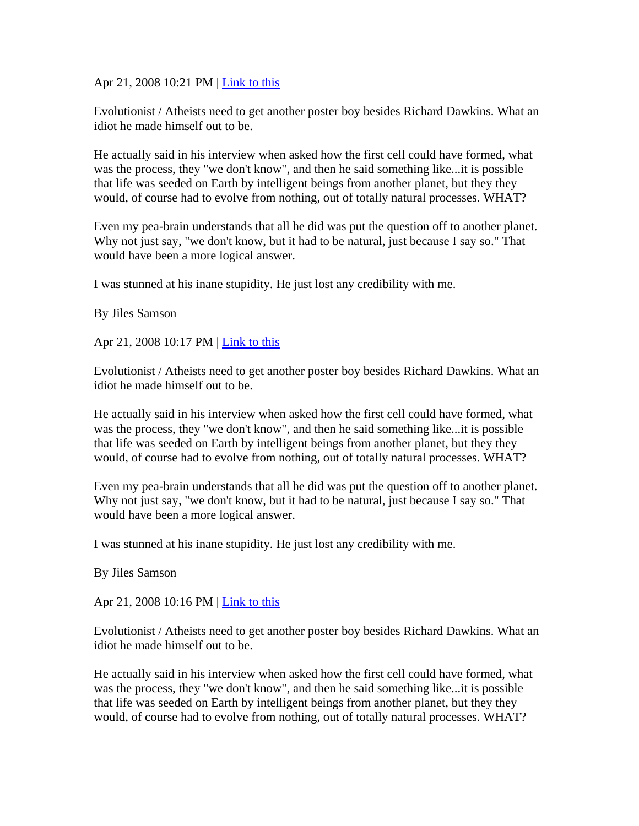Apr 21, 2008 10:21 PM | Link to this

Evolutionist / Atheists need to get another poster boy besides Richard Dawkins. What an idiot he made himself out to be.

He actually said in his interview when asked how the first cell could have formed, what was the process, they "we don't know", and then he said something like...it is possible that life was seeded on Earth by intelligent beings from another planet, but they they would, of course had to evolve from nothing, out of totally natural processes. WHAT?

Even my pea-brain understands that all he did was put the question off to another planet. Why not just say, "we don't know, but it had to be natural, just because I say so." That would have been a more logical answer.

I was stunned at his inane stupidity. He just lost any credibility with me.

By Jiles Samson

Apr 21, 2008 10:17 PM | Link to this

Evolutionist / Atheists need to get another poster boy besides Richard Dawkins. What an idiot he made himself out to be.

He actually said in his interview when asked how the first cell could have formed, what was the process, they "we don't know", and then he said something like...it is possible that life was seeded on Earth by intelligent beings from another planet, but they they would, of course had to evolve from nothing, out of totally natural processes. WHAT?

Even my pea-brain understands that all he did was put the question off to another planet. Why not just say, "we don't know, but it had to be natural, just because I say so." That would have been a more logical answer.

I was stunned at his inane stupidity. He just lost any credibility with me.

By Jiles Samson

Apr 21, 2008 10:16 PM | Link to this

Evolutionist / Atheists need to get another poster boy besides Richard Dawkins. What an idiot he made himself out to be.

He actually said in his interview when asked how the first cell could have formed, what was the process, they "we don't know", and then he said something like...it is possible that life was seeded on Earth by intelligent beings from another planet, but they they would, of course had to evolve from nothing, out of totally natural processes. WHAT?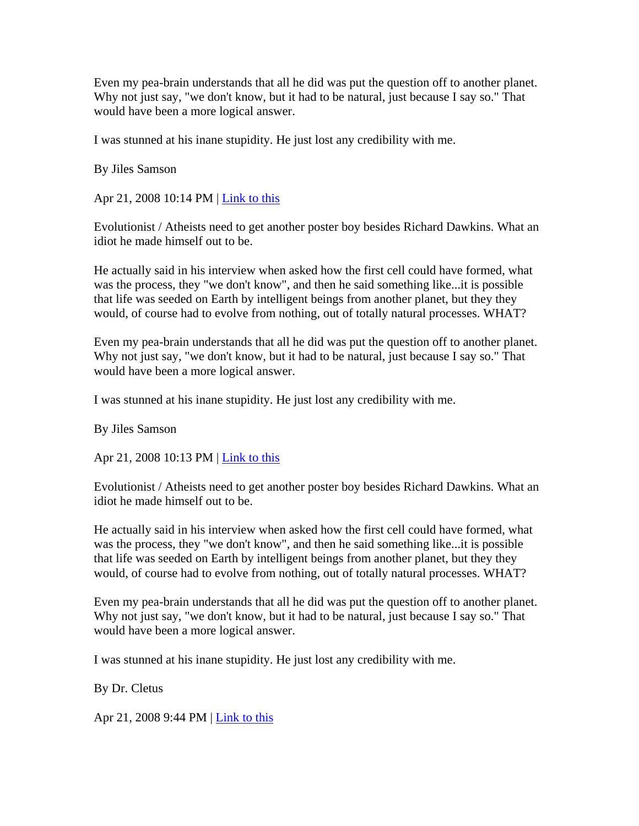Even my pea-brain understands that all he did was put the question off to another planet. Why not just say, "we don't know, but it had to be natural, just because I say so." That would have been a more logical answer.

I was stunned at his inane stupidity. He just lost any credibility with me.

By Jiles Samson

Apr 21, 2008 10:14 PM | <u>Link to this</u>

Evolutionist / Atheists need to get another poster boy besides Richard Dawkins. What an idiot he made himself out to be.

He actually said in his interview when asked how the first cell could have formed, what was the process, they "we don't know", and then he said something like...it is possible that life was seeded on Earth by intelligent beings from another planet, but they they would, of course had to evolve from nothing, out of totally natural processes. WHAT?

Even my pea-brain understands that all he did was put the question off to another planet. Why not just say, "we don't know, but it had to be natural, just because I say so." That would have been a more logical answer.

I was stunned at his inane stupidity. He just lost any credibility with me.

By Jiles Samson

Apr 21, 2008 10:13 PM | Link to this

Evolutionist / Atheists need to get another poster boy besides Richard Dawkins. What an idiot he made himself out to be.

He actually said in his interview when asked how the first cell could have formed, what was the process, they "we don't know", and then he said something like...it is possible that life was seeded on Earth by intelligent beings from another planet, but they they would, of course had to evolve from nothing, out of totally natural processes. WHAT?

Even my pea-brain understands that all he did was put the question off to another planet. Why not just say, "we don't know, but it had to be natural, just because I say so." That would have been a more logical answer.

I was stunned at his inane stupidity. He just lost any credibility with me.

By Dr. Cletus

Apr 21, 2008 9:44 PM | Link to this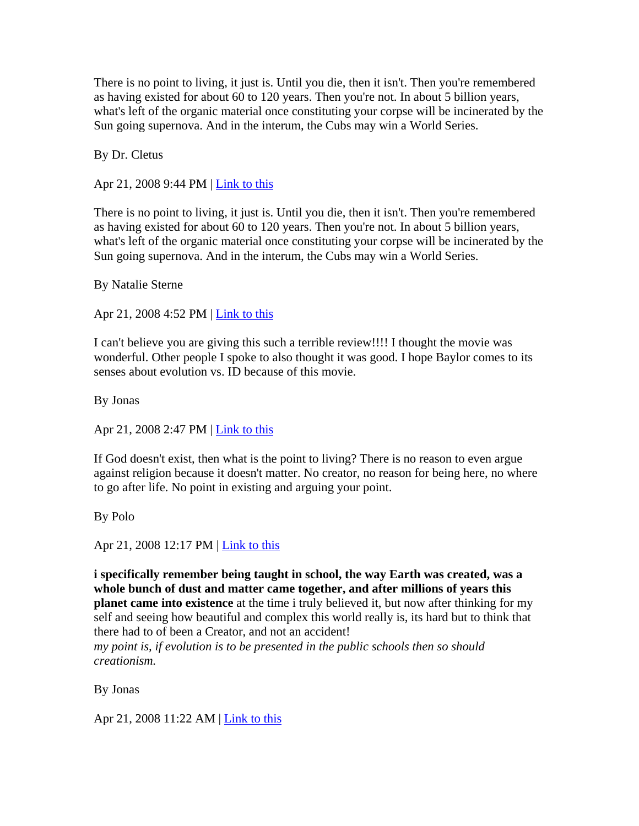There is no point to living, it just is. Until you die, then it isn't. Then you're remembered as having existed for about 60 to 120 years. Then you're not. In about 5 billion years, what's left of the organic material once constituting your corpse will be incinerated by the Sun going supernova. And in the interum, the Cubs may win a World Series.

By Dr. Cletus

Apr 21, 2008 9:44 PM | Link to this

There is no point to living, it just is. Until you die, then it isn't. Then you're remembered as having existed for about 60 to 120 years. Then you're not. In about 5 billion years, what's left of the organic material once constituting your corpse will be incinerated by the Sun going supernova. And in the interum, the Cubs may win a World Series.

By Natalie Sterne

Apr 21, 2008 4:52 PM | Link to this

I can't believe you are giving this such a terrible review!!!! I thought the movie was wonderful. Other people I spoke to also thought it was good. I hope Baylor comes to its senses about evolution vs. ID because of this movie.

By Jonas

Apr 21, 2008 2:47 PM | Link to this

If God doesn't exist, then what is the point to living? There is no reason to even argue against religion because it doesn't matter. No creator, no reason for being here, no where to go after life. No point in existing and arguing your point.

By Polo

Apr 21, 2008 12:17 PM | Link to this

**i specifically remember being taught in school, the way Earth was created, was a whole bunch of dust and matter came together, and after millions of years this planet came into existence** at the time i truly believed it, but now after thinking for my self and seeing how beautiful and complex this world really is, its hard but to think that there had to of been a Creator, and not an accident!

*my point is, if evolution is to be presented in the public schools then so should creationism.*

By Jonas

Apr 21, 2008 11:22 AM | Link to this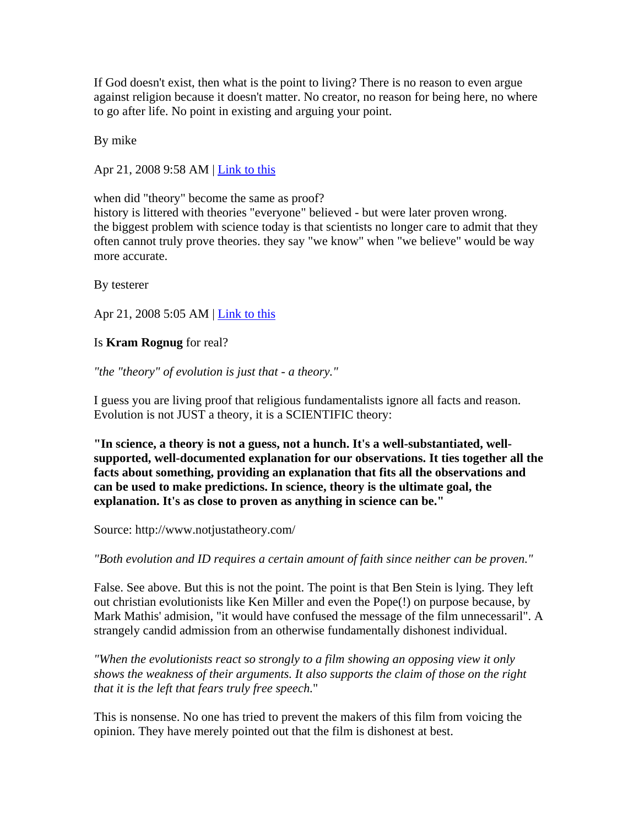If God doesn't exist, then what is the point to living? There is no reason to even argue against religion because it doesn't matter. No creator, no reason for being here, no where to go after life. No point in existing and arguing your point.

By mike

Apr 21, 2008 9:58 AM | Link to this

when did "theory" become the same as proof? history is littered with theories "everyone" believed - but were later proven wrong. the biggest problem with science today is that scientists no longer care to admit that they often cannot truly prove theories. they say "we know" when "we believe" would be way more accurate.

By testerer

Apr 21, 2008 5:05 AM | Link to this

## Is **Kram Rognug** for real?

*"the "theory" of evolution is just that - a theory."*

I guess you are living proof that religious fundamentalists ignore all facts and reason. Evolution is not JUST a theory, it is a SCIENTIFIC theory:

**"In science, a theory is not a guess, not a hunch. It's a well-substantiated, wellsupported, well-documented explanation for our observations. It ties together all the facts about something, providing an explanation that fits all the observations and can be used to make predictions. In science, theory is the ultimate goal, the explanation. It's as close to proven as anything in science can be."**

Source: http://www.notjustatheory.com/

*"Both evolution and ID requires a certain amount of faith since neither can be proven."*

False. See above. But this is not the point. The point is that Ben Stein is lying. They left out christian evolutionists like Ken Miller and even the Pope(!) on purpose because, by Mark Mathis' admision, "it would have confused the message of the film unnecessaril". A strangely candid admission from an otherwise fundamentally dishonest individual.

*"When the evolutionists react so strongly to a film showing an opposing view it only shows the weakness of their arguments. It also supports the claim of those on the right that it is the left that fears truly free speech.*"

This is nonsense. No one has tried to prevent the makers of this film from voicing the opinion. They have merely pointed out that the film is dishonest at best.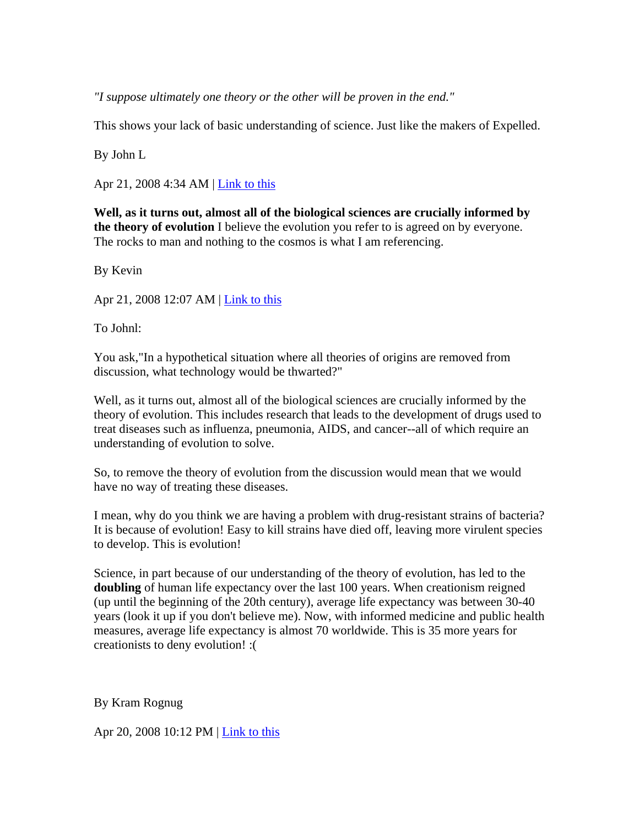*"I suppose ultimately one theory or the other will be proven in the end."*

This shows your lack of basic understanding of science. Just like the makers of Expelled.

By John L

Apr 21, 2008 4:34 AM | Link to this

**Well, as it turns out, almost all of the biological sciences are crucially informed by the theory of evolution** I believe the evolution you refer to is agreed on by everyone. The rocks to man and nothing to the cosmos is what I am referencing.

By Kevin

Apr 21, 2008 12:07 AM | Link to this

To Johnl:

You ask,"In a hypothetical situation where all theories of origins are removed from discussion, what technology would be thwarted?"

Well, as it turns out, almost all of the biological sciences are crucially informed by the theory of evolution. This includes research that leads to the development of drugs used to treat diseases such as influenza, pneumonia, AIDS, and cancer--all of which require an understanding of evolution to solve.

So, to remove the theory of evolution from the discussion would mean that we would have no way of treating these diseases.

I mean, why do you think we are having a problem with drug-resistant strains of bacteria? It is because of evolution! Easy to kill strains have died off, leaving more virulent species to develop. This is evolution!

Science, in part because of our understanding of the theory of evolution, has led to the **doubling** of human life expectancy over the last 100 years. When creationism reigned (up until the beginning of the 20th century), average life expectancy was between 30-40 years (look it up if you don't believe me). Now, with informed medicine and public health measures, average life expectancy is almost 70 worldwide. This is 35 more years for creationists to deny evolution! :(

By Kram Rognug

Apr 20, 2008 10:12 PM | Link to this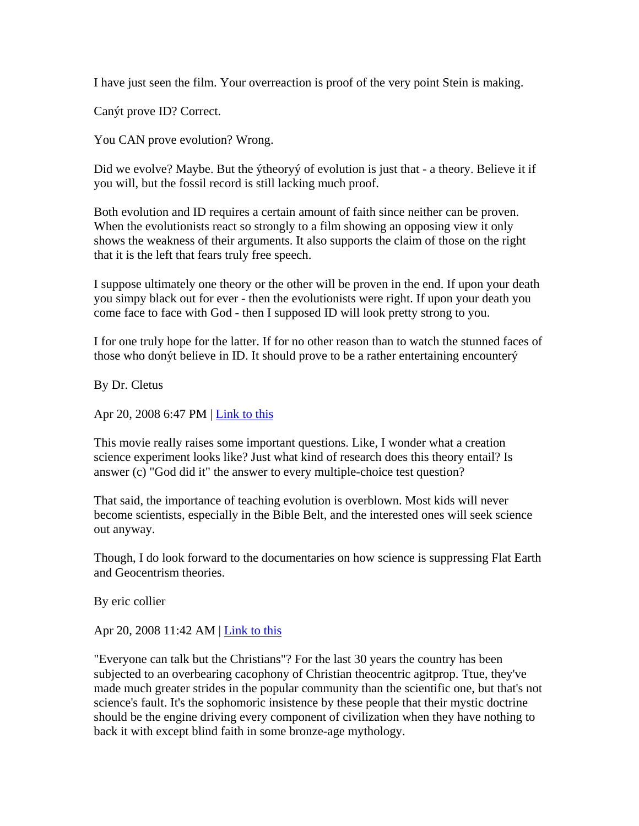I have just seen the film. Your overreaction is proof of the very point Stein is making.

Canýt prove ID? Correct.

You CAN prove evolution? Wrong.

Did we evolve? Maybe. But the ýtheoryý of evolution is just that - a theory. Believe it if you will, but the fossil record is still lacking much proof.

Both evolution and ID requires a certain amount of faith since neither can be proven. When the evolutionists react so strongly to a film showing an opposing view it only shows the weakness of their arguments. It also supports the claim of those on the right that it is the left that fears truly free speech.

I suppose ultimately one theory or the other will be proven in the end. If upon your death you simpy black out for ever - then the evolutionists were right. If upon your death you come face to face with God - then I supposed ID will look pretty strong to you.

I for one truly hope for the latter. If for no other reason than to watch the stunned faces of those who donýt believe in ID. It should prove to be a rather entertaining encounterý

By Dr. Cletus

Apr 20, 2008 6:47 PM | Link to this

This movie really raises some important questions. Like, I wonder what a creation science experiment looks like? Just what kind of research does this theory entail? Is answer (c) "God did it" the answer to every multiple-choice test question?

That said, the importance of teaching evolution is overblown. Most kids will never become scientists, especially in the Bible Belt, and the interested ones will seek science out anyway.

Though, I do look forward to the documentaries on how science is suppressing Flat Earth and Geocentrism theories.

By eric collier

Apr 20, 2008 11:42 AM | Link to this

"Everyone can talk but the Christians"? For the last 30 years the country has been subjected to an overbearing cacophony of Christian theocentric agitprop. Ttue, they've made much greater strides in the popular community than the scientific one, but that's not science's fault. It's the sophomoric insistence by these people that their mystic doctrine should be the engine driving every component of civilization when they have nothing to back it with except blind faith in some bronze-age mythology.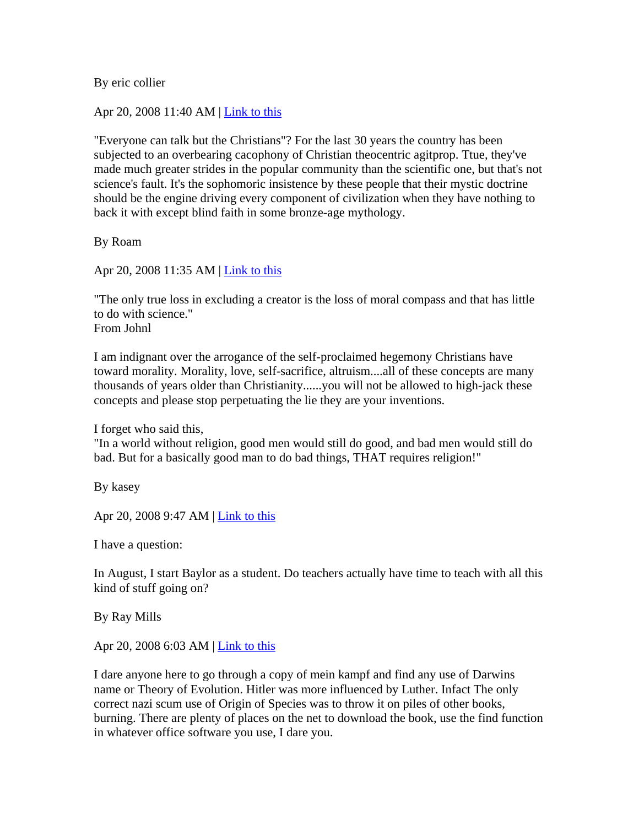By eric collier

Apr 20, 2008 11:40 AM | Link to this

"Everyone can talk but the Christians"? For the last 30 years the country has been subjected to an overbearing cacophony of Christian theocentric agitprop. Ttue, they've made much greater strides in the popular community than the scientific one, but that's not science's fault. It's the sophomoric insistence by these people that their mystic doctrine should be the engine driving every component of civilization when they have nothing to back it with except blind faith in some bronze-age mythology.

By Roam

Apr 20, 2008 11:35 AM | Link to this

"The only true loss in excluding a creator is the loss of moral compass and that has little to do with science." From Johnl

I am indignant over the arrogance of the self-proclaimed hegemony Christians have toward morality. Morality, love, self-sacrifice, altruism....all of these concepts are many thousands of years older than Christianity......you will not be allowed to high-jack these concepts and please stop perpetuating the lie they are your inventions.

I forget who said this,

"In a world without religion, good men would still do good, and bad men would still do bad. But for a basically good man to do bad things, THAT requires religion!"

By kasey

Apr 20, 2008 9:47 AM | Link to this

I have a question:

In August, I start Baylor as a student. Do teachers actually have time to teach with all this kind of stuff going on?

By Ray Mills

Apr 20, 2008 6:03 AM | Link to this

I dare anyone here to go through a copy of mein kampf and find any use of Darwins name or Theory of Evolution. Hitler was more influenced by Luther. Infact The only correct nazi scum use of Origin of Species was to throw it on piles of other books, burning. There are plenty of places on the net to download the book, use the find function in whatever office software you use, I dare you.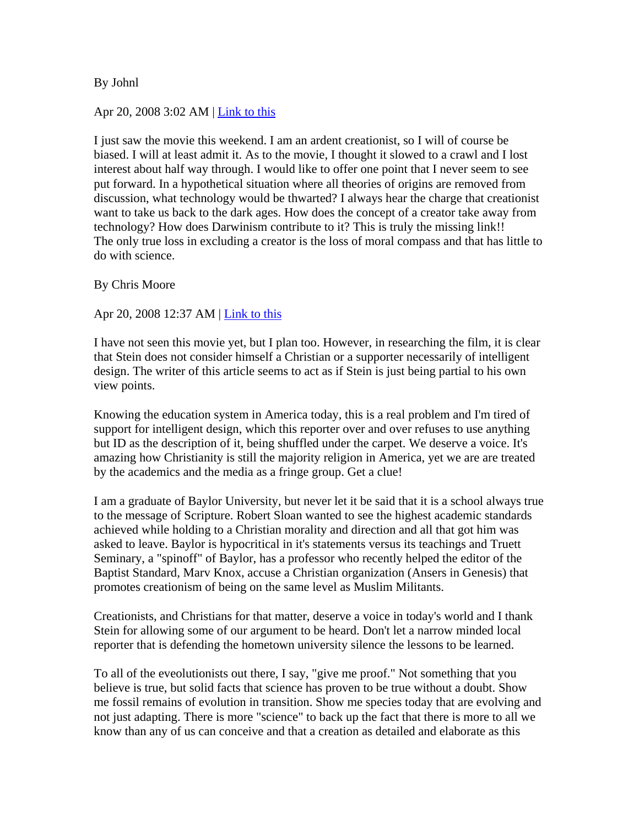By Johnl

## Apr 20, 2008 3:02 AM | Link to this

I just saw the movie this weekend. I am an ardent creationist, so I will of course be biased. I will at least admit it. As to the movie, I thought it slowed to a crawl and I lost interest about half way through. I would like to offer one point that I never seem to see put forward. In a hypothetical situation where all theories of origins are removed from discussion, what technology would be thwarted? I always hear the charge that creationist want to take us back to the dark ages. How does the concept of a creator take away from technology? How does Darwinism contribute to it? This is truly the missing link!! The only true loss in excluding a creator is the loss of moral compass and that has little to do with science.

By Chris Moore

Apr 20, 2008 12:37 AM | Link to this

I have not seen this movie yet, but I plan too. However, in researching the film, it is clear that Stein does not consider himself a Christian or a supporter necessarily of intelligent design. The writer of this article seems to act as if Stein is just being partial to his own view points.

Knowing the education system in America today, this is a real problem and I'm tired of support for intelligent design, which this reporter over and over refuses to use anything but ID as the description of it, being shuffled under the carpet. We deserve a voice. It's amazing how Christianity is still the majority religion in America, yet we are are treated by the academics and the media as a fringe group. Get a clue!

I am a graduate of Baylor University, but never let it be said that it is a school always true to the message of Scripture. Robert Sloan wanted to see the highest academic standards achieved while holding to a Christian morality and direction and all that got him was asked to leave. Baylor is hypocritical in it's statements versus its teachings and Truett Seminary, a "spinoff" of Baylor, has a professor who recently helped the editor of the Baptist Standard, Marv Knox, accuse a Christian organization (Ansers in Genesis) that promotes creationism of being on the same level as Muslim Militants.

Creationists, and Christians for that matter, deserve a voice in today's world and I thank Stein for allowing some of our argument to be heard. Don't let a narrow minded local reporter that is defending the hometown university silence the lessons to be learned.

To all of the eveolutionists out there, I say, "give me proof." Not something that you believe is true, but solid facts that science has proven to be true without a doubt. Show me fossil remains of evolution in transition. Show me species today that are evolving and not just adapting. There is more "science" to back up the fact that there is more to all we know than any of us can conceive and that a creation as detailed and elaborate as this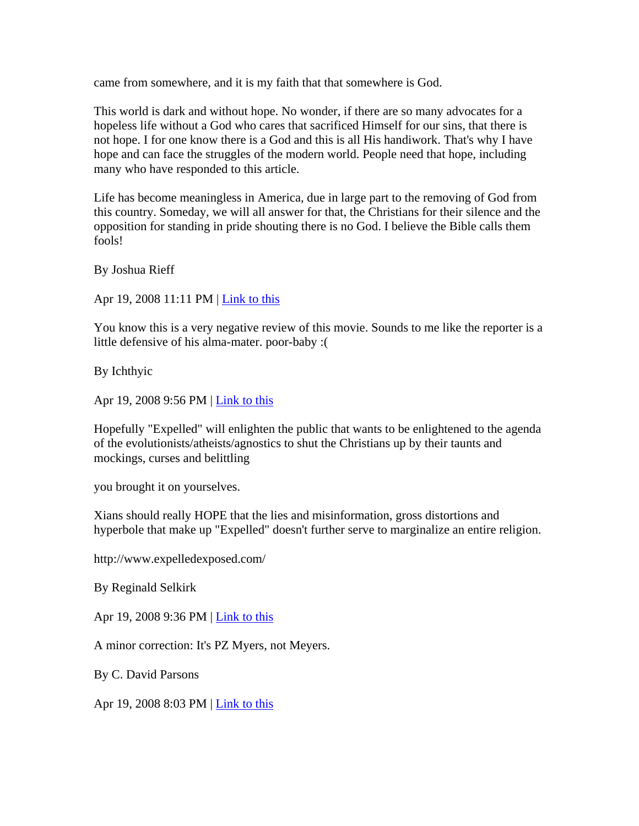came from somewhere, and it is my faith that that somewhere is God.

This world is dark and without hope. No wonder, if there are so many advocates for a hopeless life without a God who cares that sacrificed Himself for our sins, that there is not hope. I for one know there is a God and this is all His handiwork. That's why I have hope and can face the struggles of the modern world. People need that hope, including many who have responded to this article.

Life has become meaningless in America, due in large part to the removing of God from this country. Someday, we will all answer for that, the Christians for their silence and the opposition for standing in pride shouting there is no God. I believe the Bible calls them fools!

By Joshua Rieff

Apr 19, 2008 11:11 PM | Link to this

You know this is a very negative review of this movie. Sounds to me like the reporter is a little defensive of his alma-mater. poor-baby :(

By Ichthyic

Apr 19, 2008 9:56 PM | <u>Link to this</u>

Hopefully "Expelled" will enlighten the public that wants to be enlightened to the agenda of the evolutionists/atheists/agnostics to shut the Christians up by their taunts and mockings, curses and belittling

you brought it on yourselves.

Xians should really HOPE that the lies and misinformation, gross distortions and hyperbole that make up "Expelled" doesn't further serve to marginalize an entire religion.

http://www.expelledexposed.com/

By Reginald Selkirk

Apr 19, 2008 9:36 PM | Link to this

A minor correction: It's PZ Myers, not Meyers.

By C. David Parsons

Apr 19, 2008 8:03 PM | Link to this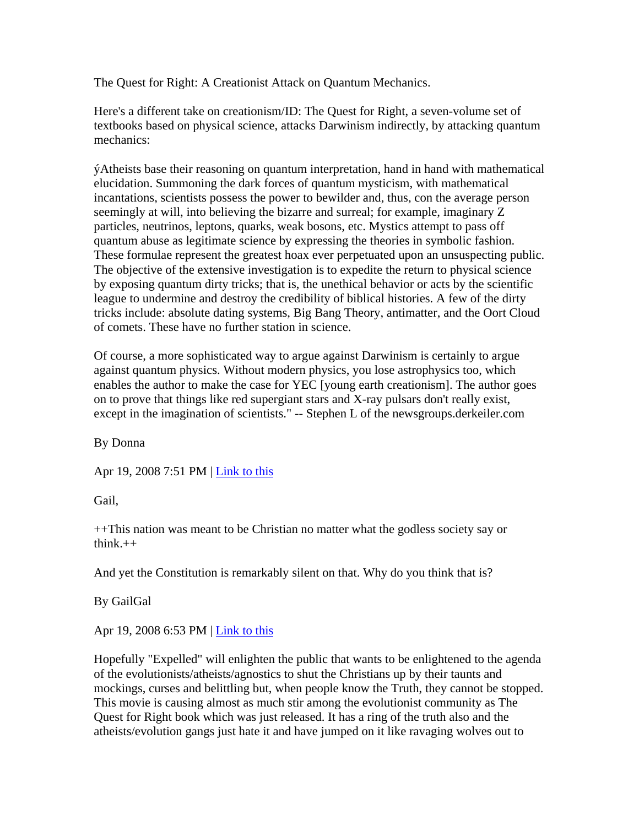The Quest for Right: A Creationist Attack on Quantum Mechanics.

Here's a different take on creationism/ID: The Quest for Right, a seven-volume set of textbooks based on physical science, attacks Darwinism indirectly, by attacking quantum mechanics:

ýAtheists base their reasoning on quantum interpretation, hand in hand with mathematical elucidation. Summoning the dark forces of quantum mysticism, with mathematical incantations, scientists possess the power to bewilder and, thus, con the average person seemingly at will, into believing the bizarre and surreal; for example, imaginary Z particles, neutrinos, leptons, quarks, weak bosons, etc. Mystics attempt to pass off quantum abuse as legitimate science by expressing the theories in symbolic fashion. These formulae represent the greatest hoax ever perpetuated upon an unsuspecting public. The objective of the extensive investigation is to expedite the return to physical science by exposing quantum dirty tricks; that is, the unethical behavior or acts by the scientific league to undermine and destroy the credibility of biblical histories. A few of the dirty tricks include: absolute dating systems, Big Bang Theory, antimatter, and the Oort Cloud of comets. These have no further station in science.

Of course, a more sophisticated way to argue against Darwinism is certainly to argue against quantum physics. Without modern physics, you lose astrophysics too, which enables the author to make the case for YEC [young earth creationism]. The author goes on to prove that things like red supergiant stars and X-ray pulsars don't really exist, except in the imagination of scientists." -- Stephen L of the newsgroups.derkeiler.com

By Donna

Apr 19, 2008 7:51 PM | Link to this

Gail,

++This nation was meant to be Christian no matter what the godless society say or think. $++$ 

And yet the Constitution is remarkably silent on that. Why do you think that is?

By GailGal

Apr 19, 2008 6:53 PM | Link to this

Hopefully "Expelled" will enlighten the public that wants to be enlightened to the agenda of the evolutionists/atheists/agnostics to shut the Christians up by their taunts and mockings, curses and belittling but, when people know the Truth, they cannot be stopped. This movie is causing almost as much stir among the evolutionist community as The Quest for Right book which was just released. It has a ring of the truth also and the atheists/evolution gangs just hate it and have jumped on it like ravaging wolves out to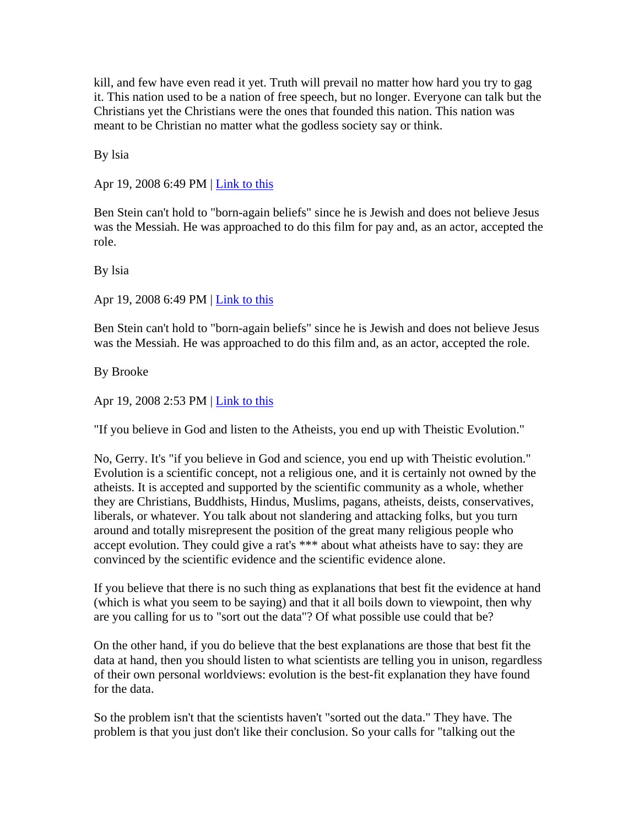kill, and few have even read it yet. Truth will prevail no matter how hard you try to gag it. This nation used to be a nation of free speech, but no longer. Everyone can talk but the Christians yet the Christians were the ones that founded this nation. This nation was meant to be Christian no matter what the godless society say or think.

By lsia

Apr 19, 2008 6:49 PM | Link to this

Ben Stein can't hold to "born-again beliefs" since he is Jewish and does not believe Jesus was the Messiah. He was approached to do this film for pay and, as an actor, accepted the role.

By lsia

Apr 19, 2008 6:49 PM | Link to this

Ben Stein can't hold to "born-again beliefs" since he is Jewish and does not believe Jesus was the Messiah. He was approached to do this film and, as an actor, accepted the role.

By Brooke

Apr 19, 2008 2:53 PM | Link to this

"If you believe in God and listen to the Atheists, you end up with Theistic Evolution."

No, Gerry. It's "if you believe in God and science, you end up with Theistic evolution." Evolution is a scientific concept, not a religious one, and it is certainly not owned by the atheists. It is accepted and supported by the scientific community as a whole, whether they are Christians, Buddhists, Hindus, Muslims, pagans, atheists, deists, conservatives, liberals, or whatever. You talk about not slandering and attacking folks, but you turn around and totally misrepresent the position of the great many religious people who accept evolution. They could give a rat's \*\*\* about what atheists have to say: they are convinced by the scientific evidence and the scientific evidence alone.

If you believe that there is no such thing as explanations that best fit the evidence at hand (which is what you seem to be saying) and that it all boils down to viewpoint, then why are you calling for us to "sort out the data"? Of what possible use could that be?

On the other hand, if you do believe that the best explanations are those that best fit the data at hand, then you should listen to what scientists are telling you in unison, regardless of their own personal worldviews: evolution is the best-fit explanation they have found for the data.

So the problem isn't that the scientists haven't "sorted out the data." They have. The problem is that you just don't like their conclusion. So your calls for "talking out the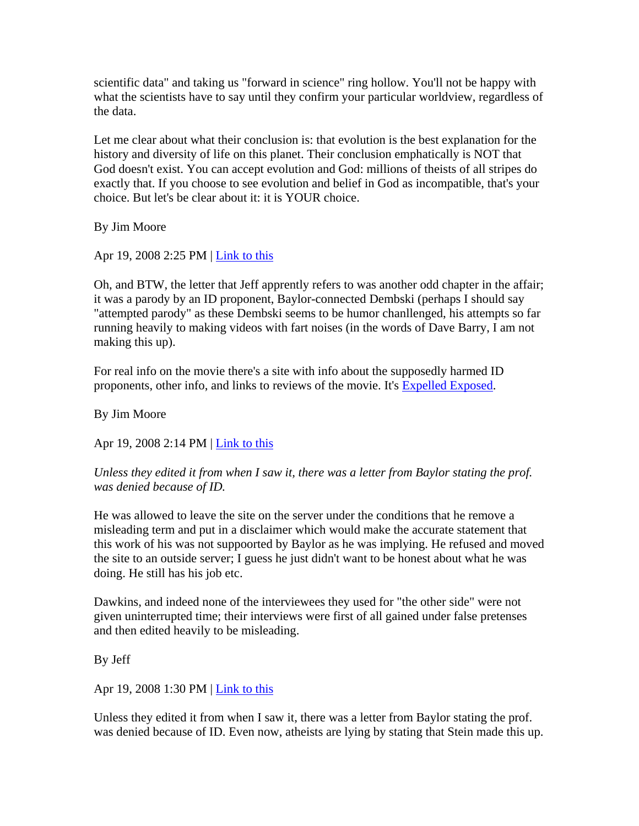scientific data" and taking us "forward in science" ring hollow. You'll not be happy with what the scientists have to say until they confirm your particular worldview, regardless of the data.

Let me clear about what their conclusion is: that evolution is the best explanation for the history and diversity of life on this planet. Their conclusion emphatically is NOT that God doesn't exist. You can accept evolution and God: millions of theists of all stripes do exactly that. If you choose to see evolution and belief in God as incompatible, that's your choice. But let's be clear about it: it is YOUR choice.

By Jim Moore

Apr 19, 2008 2:25 PM | <u>Link to this</u>

Oh, and BTW, the letter that Jeff apprently refers to was another odd chapter in the affair; it was a parody by an ID proponent, Baylor-connected Dembski (perhaps I should say "attempted parody" as these Dembski seems to be humor chanllenged, his attempts so far running heavily to making videos with fart noises (in the words of Dave Barry, I am not making this up).

For real info on the movie there's a site with info about the supposedly harmed ID proponents, other info, and links to reviews of the movie. It's Expelled Exposed.

By Jim Moore

Apr 19, 2008 2:14 PM | Link to this

*Unless they edited it from when I saw it, there was a letter from Baylor stating the prof. was denied because of ID.*

He was allowed to leave the site on the server under the conditions that he remove a misleading term and put in a disclaimer which would make the accurate statement that this work of his was not suppoorted by Baylor as he was implying. He refused and moved the site to an outside server; I guess he just didn't want to be honest about what he was doing. He still has his job etc.

Dawkins, and indeed none of the interviewees they used for "the other side" were not given uninterrupted time; their interviews were first of all gained under false pretenses and then edited heavily to be misleading.

By Jeff

Apr 19, 2008 1:30 PM | Link to this

Unless they edited it from when I saw it, there was a letter from Baylor stating the prof. was denied because of ID. Even now, atheists are lying by stating that Stein made this up.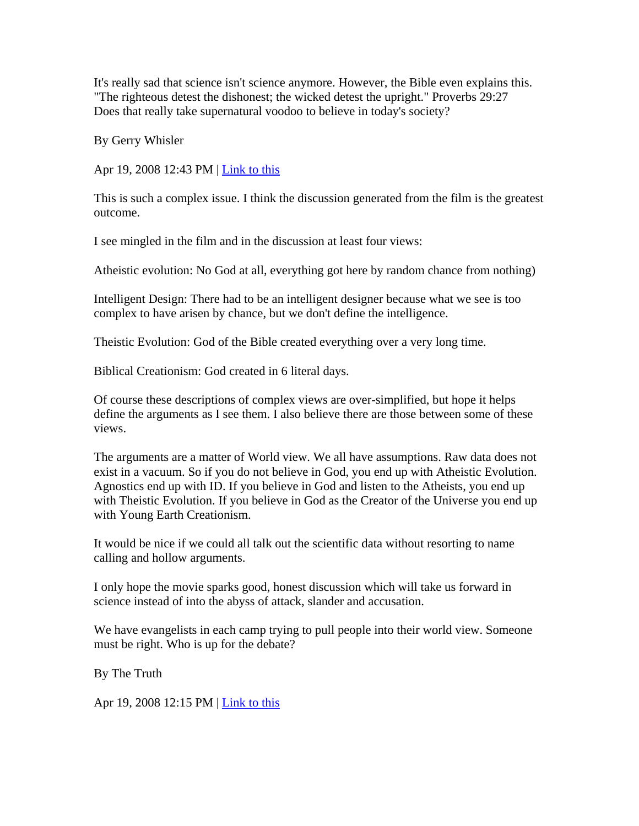It's really sad that science isn't science anymore. However, the Bible even explains this. "The righteous detest the dishonest; the wicked detest the upright." Proverbs 29:27 Does that really take supernatural voodoo to believe in today's society?

By Gerry Whisler

Apr 19, 2008 12:43 PM | Link to this

This is such a complex issue. I think the discussion generated from the film is the greatest outcome.

I see mingled in the film and in the discussion at least four views:

Atheistic evolution: No God at all, everything got here by random chance from nothing)

Intelligent Design: There had to be an intelligent designer because what we see is too complex to have arisen by chance, but we don't define the intelligence.

Theistic Evolution: God of the Bible created everything over a very long time.

Biblical Creationism: God created in 6 literal days.

Of course these descriptions of complex views are over-simplified, but hope it helps define the arguments as I see them. I also believe there are those between some of these views.

The arguments are a matter of World view. We all have assumptions. Raw data does not exist in a vacuum. So if you do not believe in God, you end up with Atheistic Evolution. Agnostics end up with ID. If you believe in God and listen to the Atheists, you end up with Theistic Evolution. If you believe in God as the Creator of the Universe you end up with Young Earth Creationism.

It would be nice if we could all talk out the scientific data without resorting to name calling and hollow arguments.

I only hope the movie sparks good, honest discussion which will take us forward in science instead of into the abyss of attack, slander and accusation.

We have evangelists in each camp trying to pull people into their world view. Someone must be right. Who is up for the debate?

By The Truth

Apr 19, 2008 12:15 PM | Link to this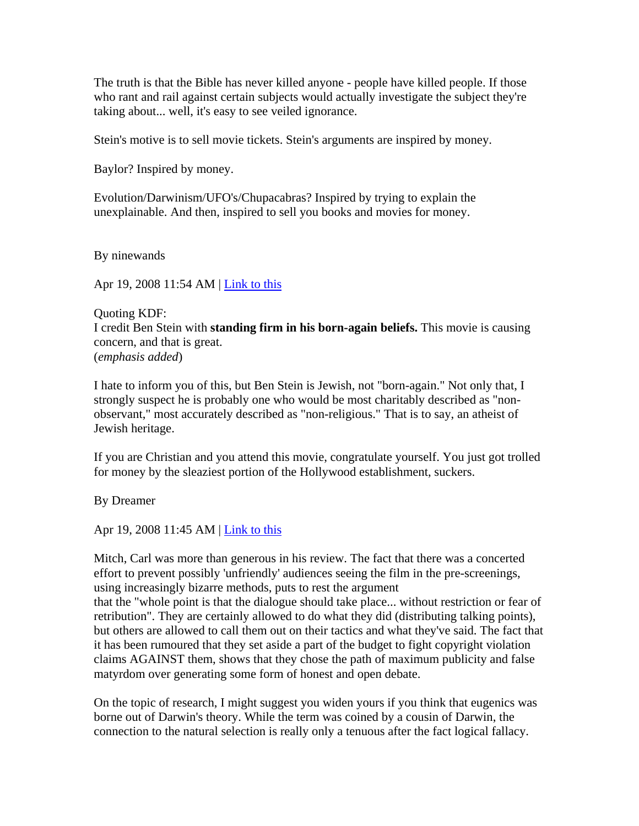The truth is that the Bible has never killed anyone - people have killed people. If those who rant and rail against certain subjects would actually investigate the subject they're taking about... well, it's easy to see veiled ignorance.

Stein's motive is to sell movie tickets. Stein's arguments are inspired by money.

Baylor? Inspired by money.

Evolution/Darwinism/UFO's/Chupacabras? Inspired by trying to explain the unexplainable. And then, inspired to sell you books and movies for money.

By ninewands

Apr 19, 2008 11:54 AM | Link to this

Quoting KDF: I credit Ben Stein with **standing firm in his born-again beliefs.** This movie is causing concern, and that is great. (*emphasis added*)

I hate to inform you of this, but Ben Stein is Jewish, not "born-again." Not only that, I strongly suspect he is probably one who would be most charitably described as "nonobservant," most accurately described as "non-religious." That is to say, an atheist of Jewish heritage.

If you are Christian and you attend this movie, congratulate yourself. You just got trolled for money by the sleaziest portion of the Hollywood establishment, suckers.

By Dreamer

Apr 19, 2008 11:45 AM | Link to this

Mitch, Carl was more than generous in his review. The fact that there was a concerted effort to prevent possibly 'unfriendly' audiences seeing the film in the pre-screenings, using increasingly bizarre methods, puts to rest the argument that the "whole point is that the dialogue should take place... without restriction or fear of retribution". They are certainly allowed to do what they did (distributing talking points), but others are allowed to call them out on their tactics and what they've said. The fact that it has been rumoured that they set aside a part of the budget to fight copyright violation claims AGAINST them, shows that they chose the path of maximum publicity and false matyrdom over generating some form of honest and open debate.

On the topic of research, I might suggest you widen yours if you think that eugenics was borne out of Darwin's theory. While the term was coined by a cousin of Darwin, the connection to the natural selection is really only a tenuous after the fact logical fallacy.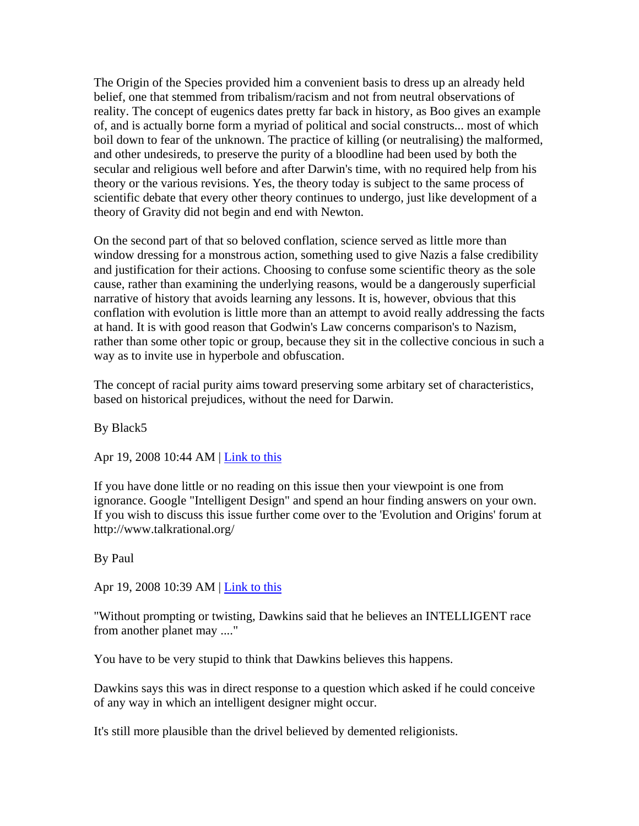The Origin of the Species provided him a convenient basis to dress up an already held belief, one that stemmed from tribalism/racism and not from neutral observations of reality. The concept of eugenics dates pretty far back in history, as Boo gives an example of, and is actually borne form a myriad of political and social constructs... most of which boil down to fear of the unknown. The practice of killing (or neutralising) the malformed, and other undesireds, to preserve the purity of a bloodline had been used by both the secular and religious well before and after Darwin's time, with no required help from his theory or the various revisions. Yes, the theory today is subject to the same process of scientific debate that every other theory continues to undergo, just like development of a theory of Gravity did not begin and end with Newton.

On the second part of that so beloved conflation, science served as little more than window dressing for a monstrous action, something used to give Nazis a false credibility and justification for their actions. Choosing to confuse some scientific theory as the sole cause, rather than examining the underlying reasons, would be a dangerously superficial narrative of history that avoids learning any lessons. It is, however, obvious that this conflation with evolution is little more than an attempt to avoid really addressing the facts at hand. It is with good reason that Godwin's Law concerns comparison's to Nazism, rather than some other topic or group, because they sit in the collective concious in such a way as to invite use in hyperbole and obfuscation.

The concept of racial purity aims toward preserving some arbitary set of characteristics, based on historical prejudices, without the need for Darwin.

By Black5

Apr 19, 2008 10:44 AM | <u>Link to this</u>

If you have done little or no reading on this issue then your viewpoint is one from ignorance. Google "Intelligent Design" and spend an hour finding answers on your own. If you wish to discuss this issue further come over to the 'Evolution and Origins' forum at http://www.talkrational.org/

By Paul

Apr 19, 2008 10:39 AM | Link to this

"Without prompting or twisting, Dawkins said that he believes an INTELLIGENT race from another planet may ...."

You have to be very stupid to think that Dawkins believes this happens.

Dawkins says this was in direct response to a question which asked if he could conceive of any way in which an intelligent designer might occur.

It's still more plausible than the drivel believed by demented religionists.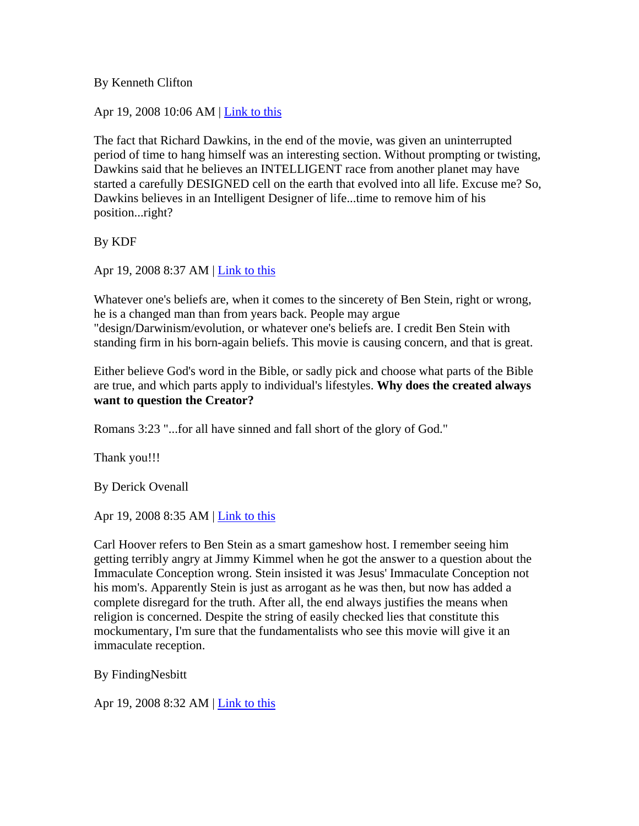## By Kenneth Clifton

Apr 19, 2008 10:06 AM | Link to this

The fact that Richard Dawkins, in the end of the movie, was given an uninterrupted period of time to hang himself was an interesting section. Without prompting or twisting, Dawkins said that he believes an INTELLIGENT race from another planet may have started a carefully DESIGNED cell on the earth that evolved into all life. Excuse me? So, Dawkins believes in an Intelligent Designer of life...time to remove him of his position...right?

By KDF

Apr 19, 2008 8:37 AM | Link to this

Whatever one's beliefs are, when it comes to the sincerety of Ben Stein, right or wrong, he is a changed man than from years back. People may argue "design/Darwinism/evolution, or whatever one's beliefs are. I credit Ben Stein with standing firm in his born-again beliefs. This movie is causing concern, and that is great.

Either believe God's word in the Bible, or sadly pick and choose what parts of the Bible are true, and which parts apply to individual's lifestyles. **Why does the created always want to question the Creator?**

Romans 3:23 "...for all have sinned and fall short of the glory of God."

Thank you!!!

By Derick Ovenall

Apr 19, 2008 8:35 AM | Link to this

Carl Hoover refers to Ben Stein as a smart gameshow host. I remember seeing him getting terribly angry at Jimmy Kimmel when he got the answer to a question about the Immaculate Conception wrong. Stein insisted it was Jesus' Immaculate Conception not his mom's. Apparently Stein is just as arrogant as he was then, but now has added a complete disregard for the truth. After all, the end always justifies the means when religion is concerned. Despite the string of easily checked lies that constitute this mockumentary, I'm sure that the fundamentalists who see this movie will give it an immaculate reception.

By FindingNesbitt

Apr 19, 2008 8:32 AM | Link to this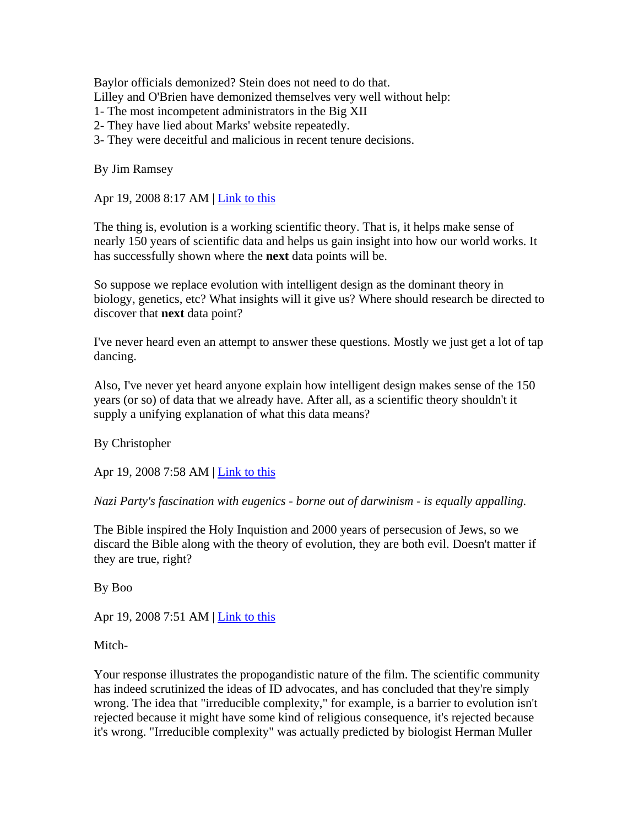Baylor officials demonized? Stein does not need to do that.

Lilley and O'Brien have demonized themselves very well without help:

- 1- The most incompetent administrators in the Big XII
- 2- They have lied about Marks' website repeatedly.
- 3- They were deceitful and malicious in recent tenure decisions.

By Jim Ramsey

Apr 19, 2008 8:17 AM | <u>Link to this</u>

The thing is, evolution is a working scientific theory. That is, it helps make sense of nearly 150 years of scientific data and helps us gain insight into how our world works. It has successfully shown where the **next** data points will be.

So suppose we replace evolution with intelligent design as the dominant theory in biology, genetics, etc? What insights will it give us? Where should research be directed to discover that **next** data point?

I've never heard even an attempt to answer these questions. Mostly we just get a lot of tap dancing.

Also, I've never yet heard anyone explain how intelligent design makes sense of the 150 years (or so) of data that we already have. After all, as a scientific theory shouldn't it supply a unifying explanation of what this data means?

By Christopher

Apr 19, 2008 7:58 AM | Link to this

*Nazi Party's fascination with eugenics - borne out of darwinism - is equally appalling.*

The Bible inspired the Holy Inquistion and 2000 years of persecusion of Jews, so we discard the Bible along with the theory of evolution, they are both evil. Doesn't matter if they are true, right?

By Boo

Apr 19, 2008 7:51 AM | <u>Link to this</u>

Mitch-

Your response illustrates the propogandistic nature of the film. The scientific community has indeed scrutinized the ideas of ID advocates, and has concluded that they're simply wrong. The idea that "irreducible complexity," for example, is a barrier to evolution isn't rejected because it might have some kind of religious consequence, it's rejected because it's wrong. "Irreducible complexity" was actually predicted by biologist Herman Muller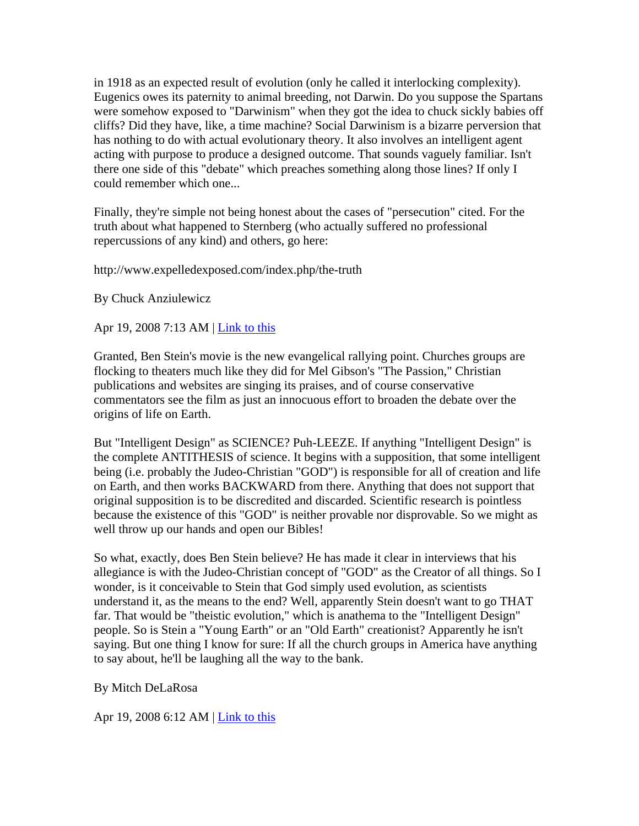in 1918 as an expected result of evolution (only he called it interlocking complexity). Eugenics owes its paternity to animal breeding, not Darwin. Do you suppose the Spartans were somehow exposed to "Darwinism" when they got the idea to chuck sickly babies off cliffs? Did they have, like, a time machine? Social Darwinism is a bizarre perversion that has nothing to do with actual evolutionary theory. It also involves an intelligent agent acting with purpose to produce a designed outcome. That sounds vaguely familiar. Isn't there one side of this "debate" which preaches something along those lines? If only I could remember which one...

Finally, they're simple not being honest about the cases of "persecution" cited. For the truth about what happened to Sternberg (who actually suffered no professional repercussions of any kind) and others, go here:

http://www.expelledexposed.com/index.php/the-truth

By Chuck Anziulewicz

Apr 19, 2008 7:13 AM | Link to this

Granted, Ben Stein's movie is the new evangelical rallying point. Churches groups are flocking to theaters much like they did for Mel Gibson's "The Passion," Christian publications and websites are singing its praises, and of course conservative commentators see the film as just an innocuous effort to broaden the debate over the origins of life on Earth.

But "Intelligent Design" as SCIENCE? Puh-LEEZE. If anything "Intelligent Design" is the complete ANTITHESIS of science. It begins with a supposition, that some intelligent being (i.e. probably the Judeo-Christian "GOD") is responsible for all of creation and life on Earth, and then works BACKWARD from there. Anything that does not support that original supposition is to be discredited and discarded. Scientific research is pointless because the existence of this "GOD" is neither provable nor disprovable. So we might as well throw up our hands and open our Bibles!

So what, exactly, does Ben Stein believe? He has made it clear in interviews that his allegiance is with the Judeo-Christian concept of "GOD" as the Creator of all things. So I wonder, is it conceivable to Stein that God simply used evolution, as scientists understand it, as the means to the end? Well, apparently Stein doesn't want to go THAT far. That would be "theistic evolution," which is anathema to the "Intelligent Design" people. So is Stein a "Young Earth" or an "Old Earth" creationist? Apparently he isn't saying. But one thing I know for sure: If all the church groups in America have anything to say about, he'll be laughing all the way to the bank.

By Mitch DeLaRosa

Apr 19, 2008 6:12 AM | Link to this